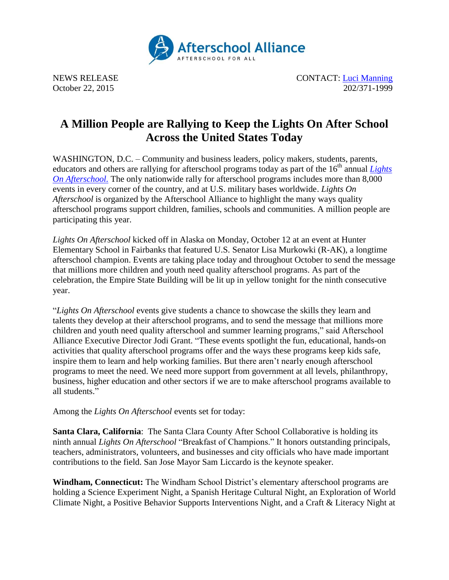

NEWS RELEASE CONTACT: [Luci Manning](mailto:luci@prsolutionsdc.com) October 22, 2015 202/371-1999

## **A Million People are Rallying to Keep the Lights On After School Across the United States Today**

WASHINGTON, D.C. – Community and business leaders, policy makers, students, parents, educators and others are rallying for afterschool programs today as part of the 16<sup>th</sup> annual *Lights [On Afterschool.](http://www.afterschoolalliance.org/loa.cfm)* The only nationwide rally for afterschool programs includes more than 8,000 events in every corner of the country, and at U.S. military bases worldwide. *Lights On Afterschool* is organized by the Afterschool Alliance to highlight the many ways quality afterschool programs support children, families, schools and communities. A million people are participating this year.

*Lights On Afterschool* kicked off in Alaska on Monday, October 12 at an event at Hunter Elementary School in Fairbanks that featured U.S. Senator Lisa Murkowki (R-AK), a longtime afterschool champion. Events are taking place today and throughout October to send the message that millions more children and youth need quality afterschool programs. As part of the celebration, the Empire State Building will be lit up in yellow tonight for the ninth consecutive year.

"*Lights On Afterschool* events give students a chance to showcase the skills they learn and talents they develop at their afterschool programs, and to send the message that millions more children and youth need quality afterschool and summer learning programs," said Afterschool Alliance Executive Director Jodi Grant. "These events spotlight the fun, educational, hands-on activities that quality afterschool programs offer and the ways these programs keep kids safe, inspire them to learn and help working families. But there aren't nearly enough afterschool programs to meet the need. We need more support from government at all levels, philanthropy, business, higher education and other sectors if we are to make afterschool programs available to all students."

Among the *Lights On Afterschool* events set for today:

**Santa Clara, California**: The Santa Clara County After School Collaborative is holding its ninth annual *Lights On Afterschool* "Breakfast of Champions." It honors outstanding principals, teachers, administrators, volunteers, and businesses and city officials who have made important contributions to the field. San Jose Mayor Sam Liccardo is the keynote speaker.

**Windham, Connecticut:** The Windham School District's elementary afterschool programs are holding a Science Experiment Night, a Spanish Heritage Cultural Night, an Exploration of World Climate Night, a Positive Behavior Supports Interventions Night, and a Craft & Literacy Night at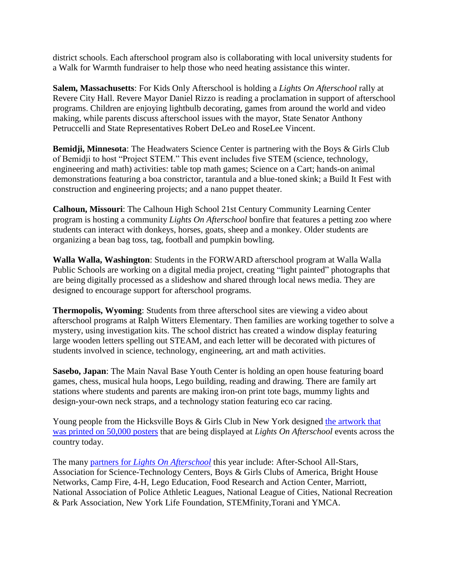district schools. Each afterschool program also is collaborating with local university students for a Walk for Warmth fundraiser to help those who need heating assistance this winter.

**Salem, Massachusetts**: For Kids Only Afterschool is holding a *Lights On Afterschool* rally at Revere City Hall. Revere Mayor Daniel Rizzo is reading a proclamation in support of afterschool programs. Children are enjoying lightbulb decorating, games from around the world and video making, while parents discuss afterschool issues with the mayor, State Senator Anthony Petruccelli and State Representatives Robert DeLeo and RoseLee Vincent.

**Bemidji, Minnesota**: The Headwaters Science Center is partnering with the Boys & Girls Club of Bemidji to host "Project STEM." This event includes five STEM (science, technology, engineering and math) activities: table top math games; Science on a Cart; hands-on animal demonstrations featuring a boa constrictor, tarantula and a blue-toned skink; a Build It Fest with construction and engineering projects; and a nano puppet theater.

**Calhoun, Missouri**: The Calhoun High School 21st Century Community Learning Center program is hosting a community *Lights On Afterschool* bonfire that features a petting zoo where students can interact with donkeys, horses, goats, sheep and a monkey. Older students are organizing a bean bag toss, tag, football and pumpkin bowling.

**Walla Walla, Washington**: Students in the FORWARD afterschool program at Walla Walla Public Schools are working on a digital media project, creating "light painted" photographs that are being digitally processed as a slideshow and shared through local news media. They are designed to encourage support for afterschool programs.

**Thermopolis, Wyoming**: Students from three afterschool sites are viewing a video about afterschool programs at Ralph Witters Elementary. Then families are working together to solve a mystery, using investigation kits. The school district has created a window display featuring large wooden letters spelling out STEAM, and each letter will be decorated with pictures of students involved in science, technology, engineering, art and math activities.

**Sasebo, Japan**: The Main Naval Base Youth Center is holding an open house featuring board games, chess, musical hula hoops, Lego building, reading and drawing. There are family art stations where students and parents are making iron-on print tote bags, mummy lights and design-your-own neck straps, and a technology station featuring eco car racing.

Young people from the Hicksville Boys & Girls Club in New York designed the artwork that [was printed on 50,000 posters](mailto:http://www.afterschoolalliance.org/loaKitPoster.cfm) that are being displayed at *Lights On Afterschool* events across the country today.

The many partners for *[Lights On Afterschool](mailto:http://www.afterschoolalliance.org/loaNatPartners.cfm)* this year include: After-School All-Stars, Association for Science-Technology Centers, Boys & Girls Clubs of America, Bright House Networks, Camp Fire, 4-H, Lego Education, Food Research and Action Center, Marriott, National Association of Police Athletic Leagues, National League of Cities, National Recreation & Park Association, New York Life Foundation, STEMfinity,Torani and YMCA.